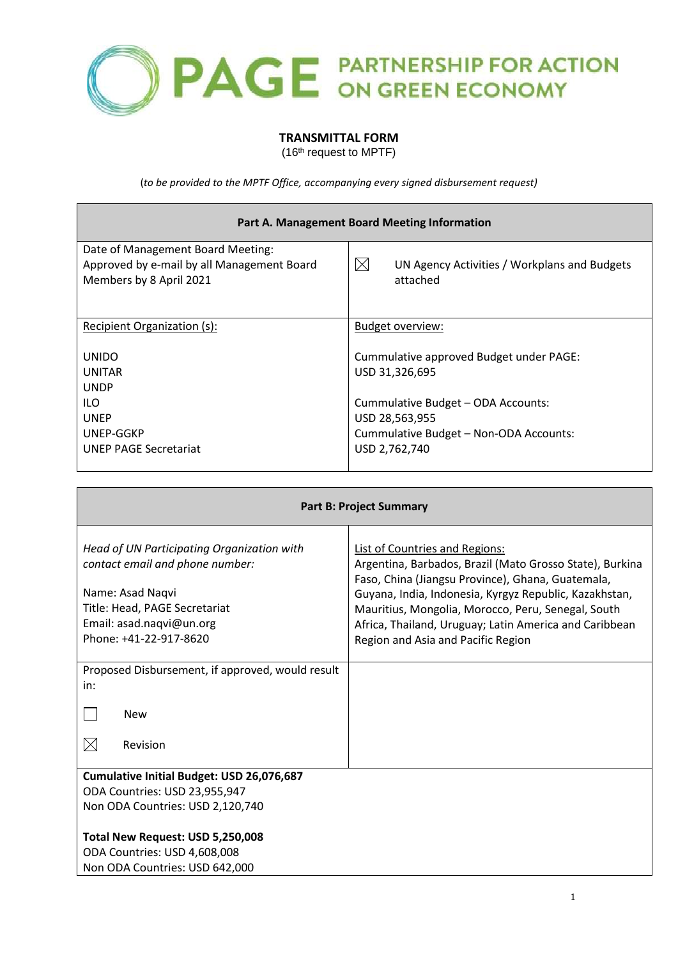

## **TRANSMITTAL FORM**

(16<sup>th</sup> request to MPTF)

(*to be provided to the MPTF Office, accompanying every signed disbursement request)*

| Part A. Management Board Meeting Information                                                               |                                                                                                                 |  |
|------------------------------------------------------------------------------------------------------------|-----------------------------------------------------------------------------------------------------------------|--|
| Date of Management Board Meeting:<br>Approved by e-mail by all Management Board<br>Members by 8 April 2021 | $\bowtie$<br>UN Agency Activities / Workplans and Budgets<br>attached                                           |  |
| Recipient Organization (s):                                                                                | Budget overview:                                                                                                |  |
| <b>UNIDO</b><br><b>UNITAR</b><br><b>UNDP</b>                                                               | Cummulative approved Budget under PAGE:<br>USD 31,326,695                                                       |  |
| ILO.<br><b>UNEP</b><br>UNEP-GGKP<br><b>UNEP PAGE Secretariat</b>                                           | Cummulative Budget - ODA Accounts:<br>USD 28,563,955<br>Cummulative Budget - Non-ODA Accounts:<br>USD 2,762,740 |  |
|                                                                                                            |                                                                                                                 |  |

| <b>Part B: Project Summary</b>                                                                                                                                                           |                                                                                                                                                                                                                                                                                                                                                                        |  |
|------------------------------------------------------------------------------------------------------------------------------------------------------------------------------------------|------------------------------------------------------------------------------------------------------------------------------------------------------------------------------------------------------------------------------------------------------------------------------------------------------------------------------------------------------------------------|--|
| Head of UN Participating Organization with<br>contact email and phone number:<br>Name: Asad Naqvi<br>Title: Head, PAGE Secretariat<br>Email: asad.naqvi@un.org<br>Phone: +41-22-917-8620 | <b>List of Countries and Regions:</b><br>Argentina, Barbados, Brazil (Mato Grosso State), Burkina<br>Faso, China (Jiangsu Province), Ghana, Guatemala,<br>Guyana, India, Indonesia, Kyrgyz Republic, Kazakhstan,<br>Mauritius, Mongolia, Morocco, Peru, Senegal, South<br>Africa, Thailand, Uruguay; Latin America and Caribbean<br>Region and Asia and Pacific Region |  |
| Proposed Disbursement, if approved, would result<br>in:                                                                                                                                  |                                                                                                                                                                                                                                                                                                                                                                        |  |
| <b>New</b><br>$\bowtie$<br>Revision                                                                                                                                                      |                                                                                                                                                                                                                                                                                                                                                                        |  |
| Cumulative Initial Budget: USD 26,076,687<br>ODA Countries: USD 23,955,947                                                                                                               |                                                                                                                                                                                                                                                                                                                                                                        |  |
| Non ODA Countries: USD 2,120,740                                                                                                                                                         |                                                                                                                                                                                                                                                                                                                                                                        |  |
| Total New Request: USD 5,250,008<br>ODA Countries: USD 4,608,008<br>Non ODA Countries: USD 642,000                                                                                       |                                                                                                                                                                                                                                                                                                                                                                        |  |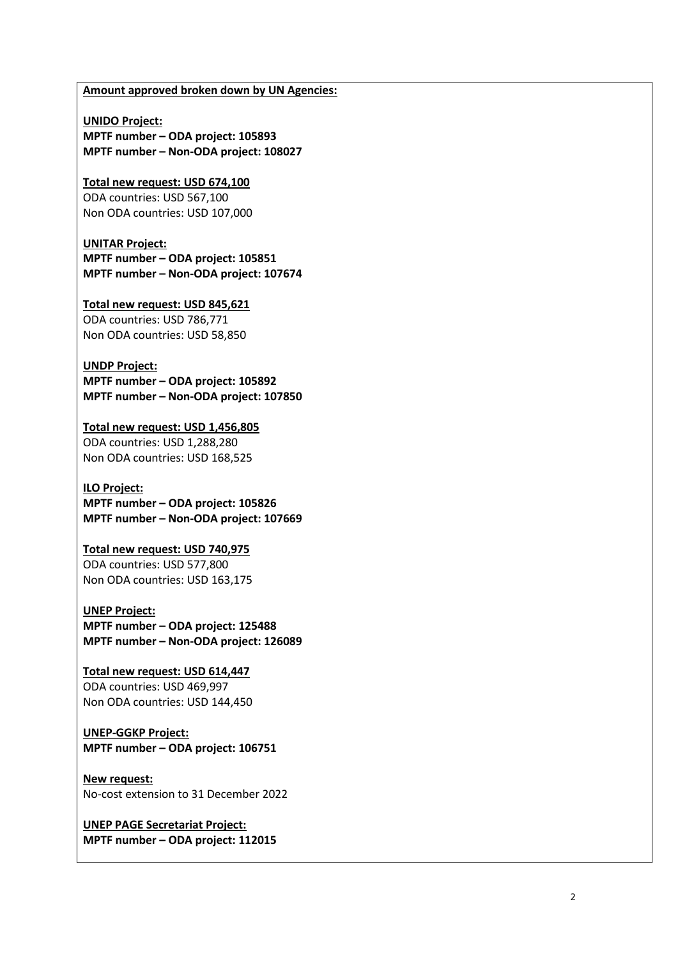#### **Amount approved broken down by UN Agencies:**

**UNIDO Project: MPTF number – ODA project: 105893 MPTF number – Non-ODA project: 108027**

**Total new request: USD 674,100** ODA countries: USD 567,100 Non ODA countries: USD 107,000

**UNITAR Project: MPTF number – ODA project: 105851 MPTF number – Non-ODA project: 107674**

**Total new request: USD 845,621** ODA countries: USD 786,771 Non ODA countries: USD 58,850

## **UNDP Project:**

**MPTF number – ODA project: 105892 MPTF number – Non-ODA project: 107850**

**Total new request: USD 1,456,805** ODA countries: USD 1,288,280 Non ODA countries: USD 168,525

#### **ILO Project:**

**MPTF number – ODA project: 105826 MPTF number – Non-ODA project: [107669](http://mptf.undp.org/factsheet/project/00107669)**

### **Total new request: USD 740,975**

ODA countries: USD 577,800 Non ODA countries: USD 163,175

#### **UNEP Project:**

**MPTF number – ODA project: 125488 MPTF number – Non-ODA project: 126089**

#### **Total new request: USD 614,447** ODA countries: USD 469,997

Non ODA countries: USD 144,450

### **UNEP-GGKP Project: MPTF number – ODA project: 106751**

**New request:** 

No-cost extension to 31 December 2022

**UNEP PAGE Secretariat Project: MPTF number – ODA project: 112015**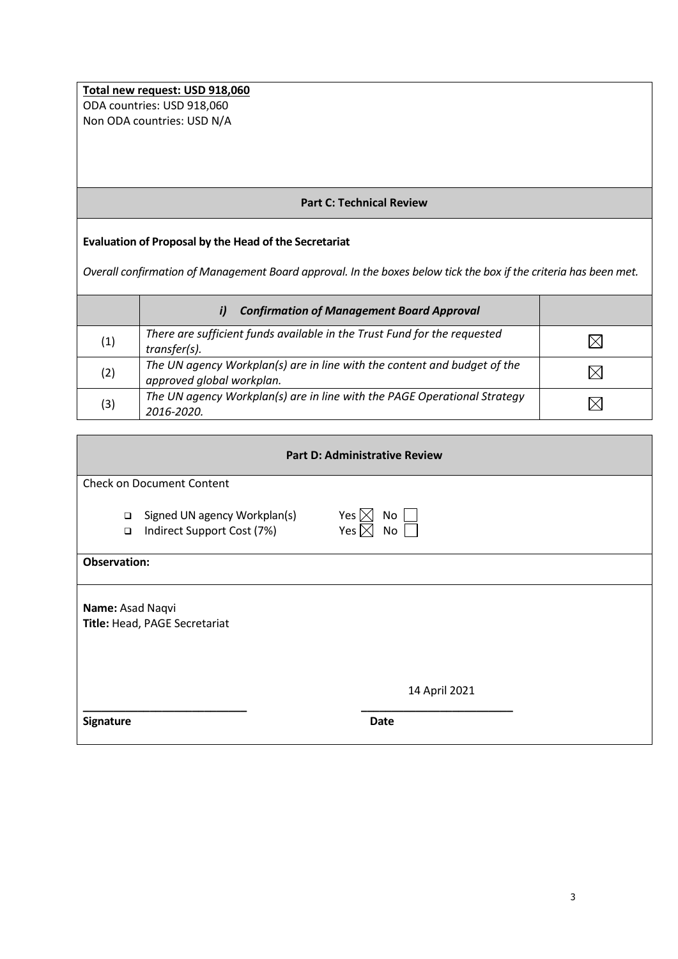**Total new request: USD 918,060** ODA countries: USD 918,060 Non ODA countries: USD N/A

# **Part C: Technical Review**

# **Evaluation of Proposal by the Head of the Secretariat**

*Overall confirmation of Management Board approval. In the boxes below tick the box if the criteria has been met.*

|     | <b>Confirmation of Management Board Approval</b><br>i)                                                |  |
|-----|-------------------------------------------------------------------------------------------------------|--|
| (1) | There are sufficient funds available in the Trust Fund for the requested<br>transfer(s).              |  |
| (2) | The UN agency Workplan(s) are in line with the content and budget of the<br>approved global workplan. |  |
| (3) | The UN agency Workplan(s) are in line with the PAGE Operational Strategy<br>2016-2020.                |  |

| <b>Part D: Administrative Review</b> |                                                            |                                                          |  |  |
|--------------------------------------|------------------------------------------------------------|----------------------------------------------------------|--|--|
|                                      | <b>Check on Document Content</b>                           |                                                          |  |  |
| $\Box$<br>$\Box$                     | Signed UN agency Workplan(s)<br>Indirect Support Cost (7%) | Yes $\boxtimes$<br>No <sub>1</sub><br>Yes $\boxtimes$ No |  |  |
| <b>Observation:</b>                  |                                                            |                                                          |  |  |
| Name: Asad Naqvi                     | Title: Head, PAGE Secretariat                              |                                                          |  |  |
|                                      |                                                            | 14 April 2021                                            |  |  |
| <b>Signature</b>                     |                                                            | <b>Date</b>                                              |  |  |